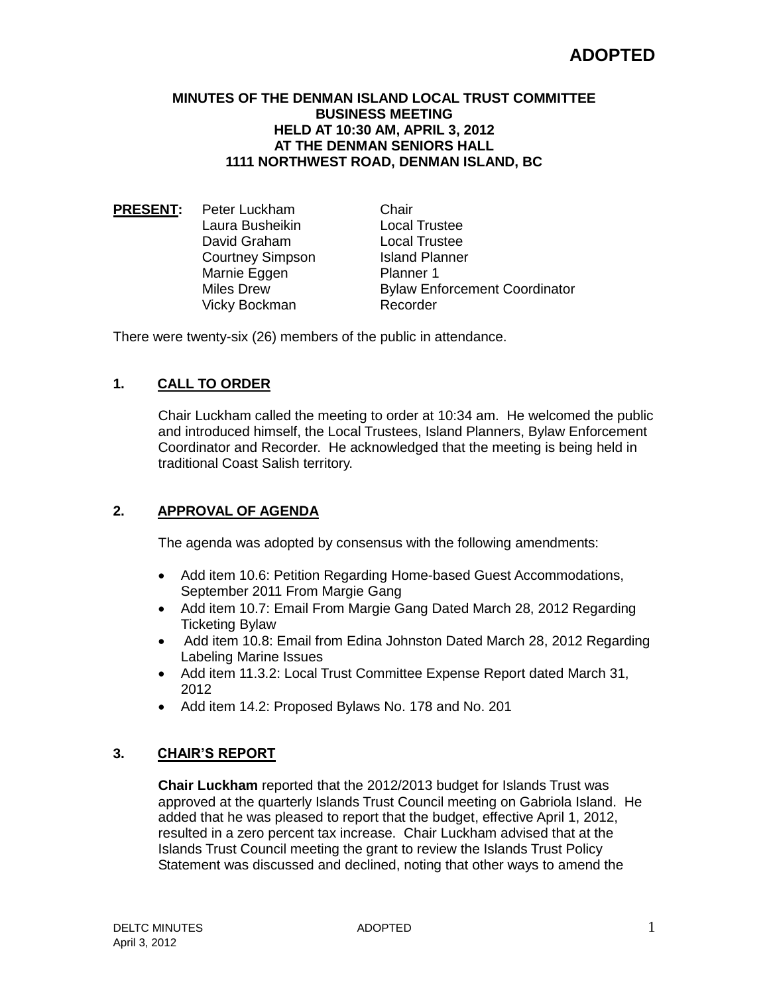#### **MINUTES OF THE DENMAN ISLAND LOCAL TRUST COMMITTEE BUSINESS MEETING HELD AT 10:30 AM, APRIL 3, 2012 AT THE DENMAN SENIORS HALL 1111 NORTHWEST ROAD, DENMAN ISLAND, BC**

**PRESENT:** Peter Luckham Chair Laura Busheikin Local Trustee **David Graham Collect Local Trustee<br>Courtney Simpson Court Lisland Planner** Courtney Simpson Marnie Eggen Planner 1 Vicky Bockman Recorder

Miles Drew **Bylaw Enforcement Coordinator** 

There were twenty-six (26) members of the public in attendance.

## **1. CALL TO ORDER**

Chair Luckham called the meeting to order at 10:34 am. He welcomed the public and introduced himself, the Local Trustees, Island Planners, Bylaw Enforcement Coordinator and Recorder. He acknowledged that the meeting is being held in traditional Coast Salish territory.

## **2. APPROVAL OF AGENDA**

The agenda was adopted by consensus with the following amendments:

- Add item 10.6: Petition Regarding Home-based Guest Accommodations, September 2011 From Margie Gang
- Add item 10.7: Email From Margie Gang Dated March 28, 2012 Regarding Ticketing Bylaw
- Add item 10.8: Email from Edina Johnston Dated March 28, 2012 Regarding Labeling Marine Issues
- Add item 11.3.2: Local Trust Committee Expense Report dated March 31, 2012
- Add item 14.2: Proposed Bylaws No. 178 and No. 201

#### **3. CHAIR'S REPORT**

**Chair Luckham** reported that the 2012/2013 budget for Islands Trust was approved at the quarterly Islands Trust Council meeting on Gabriola Island. He added that he was pleased to report that the budget, effective April 1, 2012, resulted in a zero percent tax increase. Chair Luckham advised that at the Islands Trust Council meeting the grant to review the Islands Trust Policy Statement was discussed and declined, noting that other ways to amend the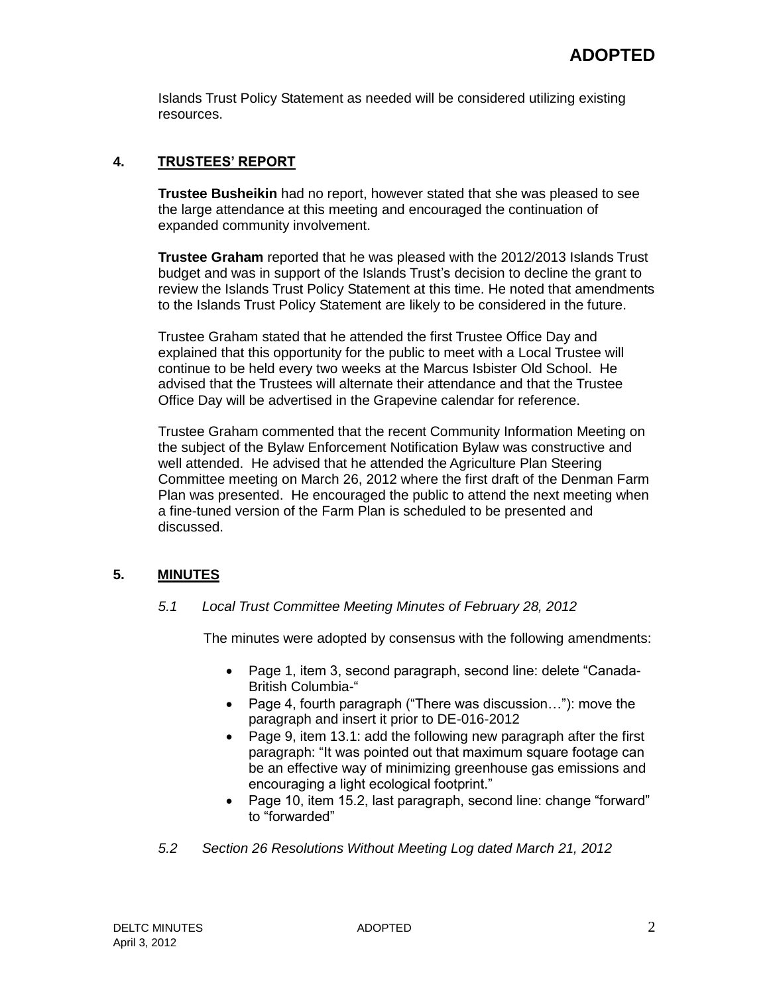Islands Trust Policy Statement as needed will be considered utilizing existing resources.

## **4. TRUSTEES' REPORT**

**Trustee Busheikin** had no report, however stated that she was pleased to see the large attendance at this meeting and encouraged the continuation of expanded community involvement.

**Trustee Graham** reported that he was pleased with the 2012/2013 Islands Trust budget and was in support of the Islands Trust's decision to decline the grant to review the Islands Trust Policy Statement at this time. He noted that amendments to the Islands Trust Policy Statement are likely to be considered in the future.

Trustee Graham stated that he attended the first Trustee Office Day and explained that this opportunity for the public to meet with a Local Trustee will continue to be held every two weeks at the Marcus Isbister Old School. He advised that the Trustees will alternate their attendance and that the Trustee Office Day will be advertised in the Grapevine calendar for reference.

Trustee Graham commented that the recent Community Information Meeting on the subject of the Bylaw Enforcement Notification Bylaw was constructive and well attended. He advised that he attended the Agriculture Plan Steering Committee meeting on March 26, 2012 where the first draft of the Denman Farm Plan was presented. He encouraged the public to attend the next meeting when a fine-tuned version of the Farm Plan is scheduled to be presented and discussed.

## **5. MINUTES**

#### *5.1 Local Trust Committee Meeting Minutes of February 28, 2012*

The minutes were adopted by consensus with the following amendments:

- Page 1, item 3, second paragraph, second line: delete "Canada-British Columbia-"
- Page 4, fourth paragraph ("There was discussion..."): move the paragraph and insert it prior to DE-016-2012
- Page 9, item 13.1: add the following new paragraph after the first paragraph: "It was pointed out that maximum square footage can be an effective way of minimizing greenhouse gas emissions and encouraging a light ecological footprint."
- Page 10, item 15.2, last paragraph, second line: change "forward" to "forwarded"
- *5.2 Section 26 Resolutions Without Meeting Log dated March 21, 2012*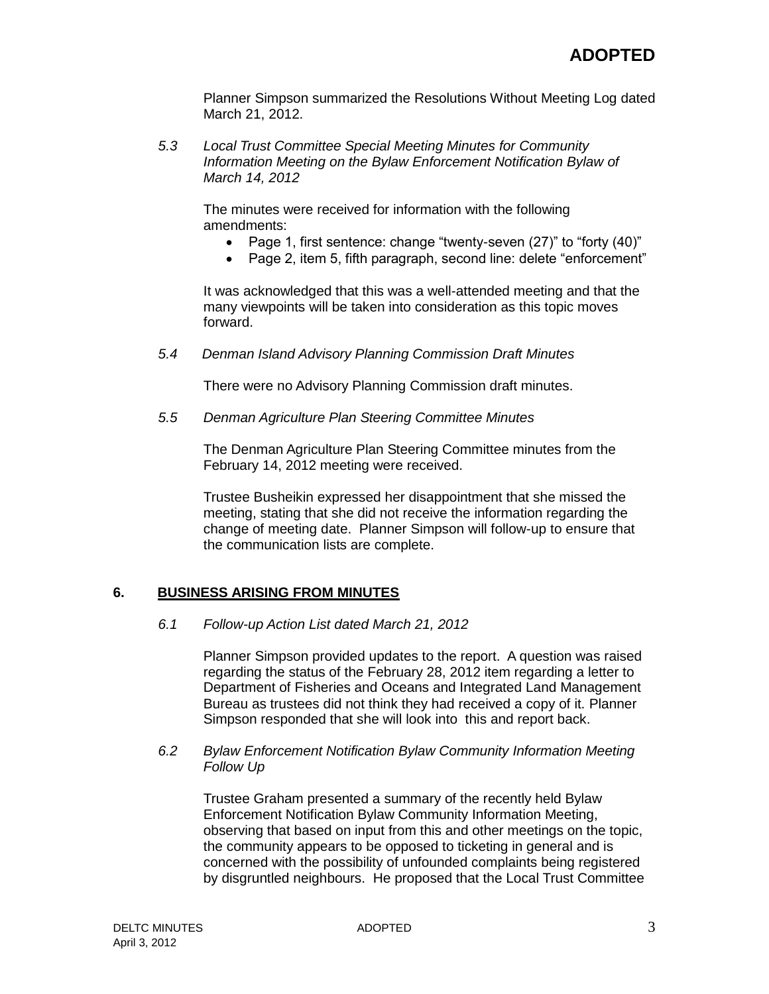Planner Simpson summarized the Resolutions Without Meeting Log dated March 21, 2012.

*5.3 Local Trust Committee Special Meeting Minutes for Community Information Meeting on the Bylaw Enforcement Notification Bylaw of March 14, 2012*

The minutes were received for information with the following amendments:

- Page 1, first sentence: change "twenty-seven (27)" to "forty (40)"
- Page 2, item 5, fifth paragraph, second line: delete "enforcement"

It was acknowledged that this was a well-attended meeting and that the many viewpoints will be taken into consideration as this topic moves forward.

*5.4 Denman Island Advisory Planning Commission Draft Minutes*

There were no Advisory Planning Commission draft minutes.

*5.5 Denman Agriculture Plan Steering Committee Minutes*

The Denman Agriculture Plan Steering Committee minutes from the February 14, 2012 meeting were received.

Trustee Busheikin expressed her disappointment that she missed the meeting, stating that she did not receive the information regarding the change of meeting date. Planner Simpson will follow-up to ensure that the communication lists are complete.

#### **6. BUSINESS ARISING FROM MINUTES**

#### *6.1 Follow-up Action List dated March 21, 2012*

Planner Simpson provided updates to the report. A question was raised regarding the status of the February 28, 2012 item regarding a letter to Department of Fisheries and Oceans and Integrated Land Management Bureau as trustees did not think they had received a copy of it. Planner Simpson responded that she will look into this and report back.

#### *6.2 Bylaw Enforcement Notification Bylaw Community Information Meeting Follow Up*

Trustee Graham presented a summary of the recently held Bylaw Enforcement Notification Bylaw Community Information Meeting, observing that based on input from this and other meetings on the topic, the community appears to be opposed to ticketing in general and is concerned with the possibility of unfounded complaints being registered by disgruntled neighbours. He proposed that the Local Trust Committee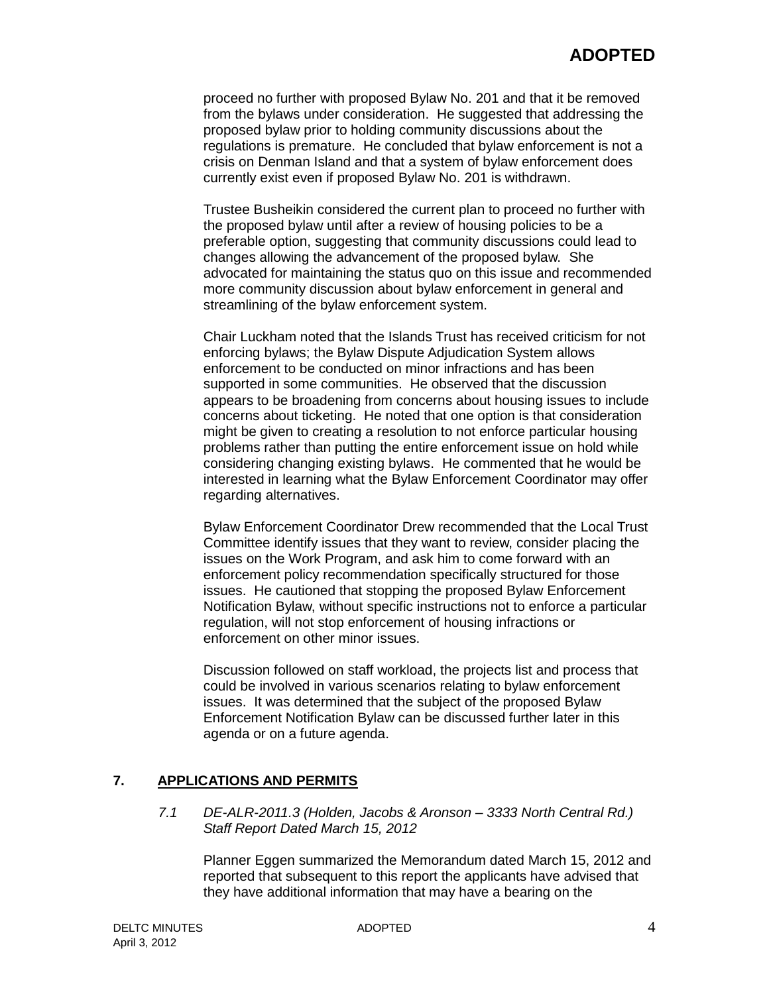proceed no further with proposed Bylaw No. 201 and that it be removed from the bylaws under consideration. He suggested that addressing the proposed bylaw prior to holding community discussions about the regulations is premature. He concluded that bylaw enforcement is not a crisis on Denman Island and that a system of bylaw enforcement does currently exist even if proposed Bylaw No. 201 is withdrawn.

Trustee Busheikin considered the current plan to proceed no further with the proposed bylaw until after a review of housing policies to be a preferable option, suggesting that community discussions could lead to changes allowing the advancement of the proposed bylaw. She advocated for maintaining the status quo on this issue and recommended more community discussion about bylaw enforcement in general and streamlining of the bylaw enforcement system.

Chair Luckham noted that the Islands Trust has received criticism for not enforcing bylaws; the Bylaw Dispute Adjudication System allows enforcement to be conducted on minor infractions and has been supported in some communities. He observed that the discussion appears to be broadening from concerns about housing issues to include concerns about ticketing. He noted that one option is that consideration might be given to creating a resolution to not enforce particular housing problems rather than putting the entire enforcement issue on hold while considering changing existing bylaws. He commented that he would be interested in learning what the Bylaw Enforcement Coordinator may offer regarding alternatives.

Bylaw Enforcement Coordinator Drew recommended that the Local Trust Committee identify issues that they want to review, consider placing the issues on the Work Program, and ask him to come forward with an enforcement policy recommendation specifically structured for those issues. He cautioned that stopping the proposed Bylaw Enforcement Notification Bylaw, without specific instructions not to enforce a particular regulation, will not stop enforcement of housing infractions or enforcement on other minor issues.

Discussion followed on staff workload, the projects list and process that could be involved in various scenarios relating to bylaw enforcement issues. It was determined that the subject of the proposed Bylaw Enforcement Notification Bylaw can be discussed further later in this agenda or on a future agenda.

#### **7. APPLICATIONS AND PERMITS**

*7.1 DE-ALR-2011.3 (Holden, Jacobs & Aronson – 3333 North Central Rd.) Staff Report Dated March 15, 2012*

Planner Eggen summarized the Memorandum dated March 15, 2012 and reported that subsequent to this report the applicants have advised that they have additional information that may have a bearing on the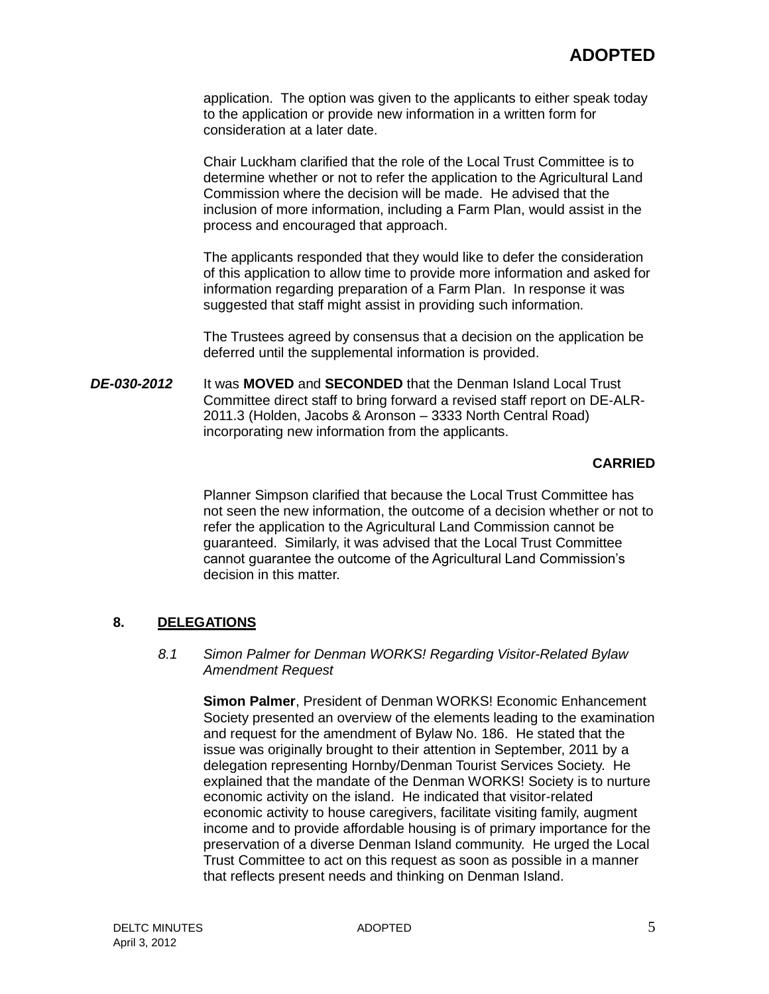application. The option was given to the applicants to either speak today to the application or provide new information in a written form for consideration at a later date.

Chair Luckham clarified that the role of the Local Trust Committee is to determine whether or not to refer the application to the Agricultural Land Commission where the decision will be made. He advised that the inclusion of more information, including a Farm Plan, would assist in the process and encouraged that approach.

The applicants responded that they would like to defer the consideration of this application to allow time to provide more information and asked for information regarding preparation of a Farm Plan. In response it was suggested that staff might assist in providing such information.

The Trustees agreed by consensus that a decision on the application be deferred until the supplemental information is provided.

*DE-030-2012* It was **MOVED** and **SECONDED** that the Denman Island Local Trust Committee direct staff to bring forward a revised staff report on DE-ALR-2011.3 (Holden, Jacobs & Aronson – 3333 North Central Road) incorporating new information from the applicants.

#### **CARRIED**

Planner Simpson clarified that because the Local Trust Committee has not seen the new information, the outcome of a decision whether or not to refer the application to the Agricultural Land Commission cannot be guaranteed. Similarly, it was advised that the Local Trust Committee cannot guarantee the outcome of the Agricultural Land Commission's decision in this matter.

### **8. DELEGATIONS**

#### *8.1 Simon Palmer for Denman WORKS! Regarding Visitor-Related Bylaw Amendment Request*

**Simon Palmer**, President of Denman WORKS! Economic Enhancement Society presented an overview of the elements leading to the examination and request for the amendment of Bylaw No. 186. He stated that the issue was originally brought to their attention in September, 2011 by a delegation representing Hornby/Denman Tourist Services Society. He explained that the mandate of the Denman WORKS! Society is to nurture economic activity on the island. He indicated that visitor-related economic activity to house caregivers, facilitate visiting family, augment income and to provide affordable housing is of primary importance for the preservation of a diverse Denman Island community. He urged the Local Trust Committee to act on this request as soon as possible in a manner that reflects present needs and thinking on Denman Island.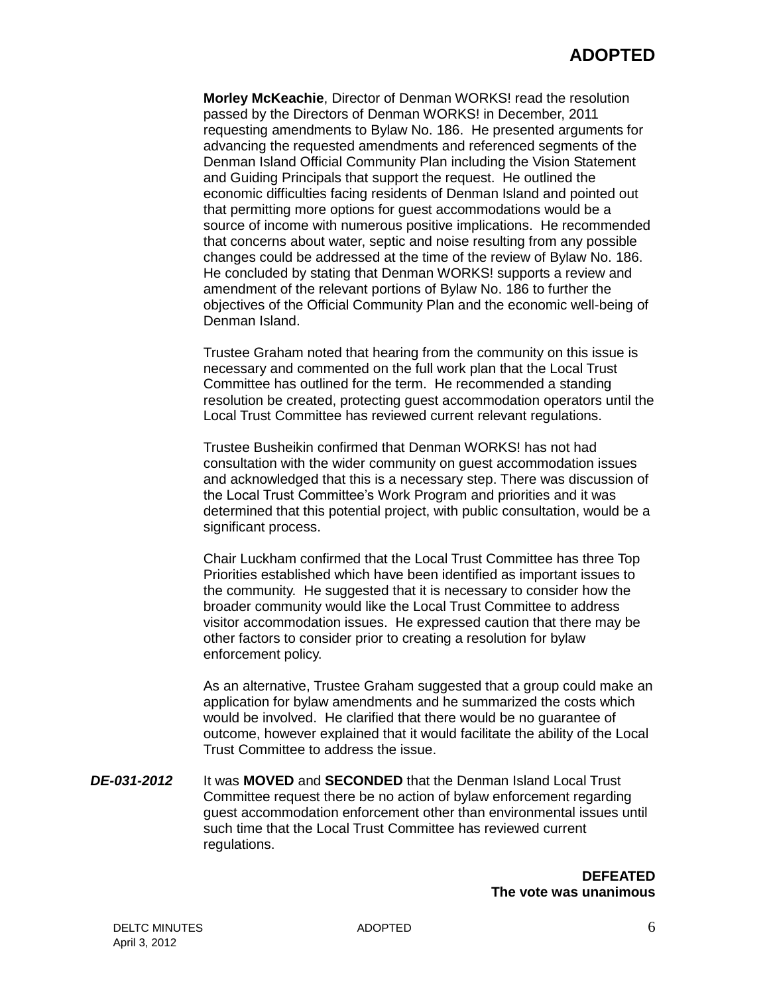**Morley McKeachie**, Director of Denman WORKS! read the resolution passed by the Directors of Denman WORKS! in December, 2011 requesting amendments to Bylaw No. 186. He presented arguments for advancing the requested amendments and referenced segments of the Denman Island Official Community Plan including the Vision Statement and Guiding Principals that support the request. He outlined the economic difficulties facing residents of Denman Island and pointed out that permitting more options for guest accommodations would be a source of income with numerous positive implications. He recommended that concerns about water, septic and noise resulting from any possible changes could be addressed at the time of the review of Bylaw No. 186. He concluded by stating that Denman WORKS! supports a review and amendment of the relevant portions of Bylaw No. 186 to further the objectives of the Official Community Plan and the economic well-being of Denman Island.

Trustee Graham noted that hearing from the community on this issue is necessary and commented on the full work plan that the Local Trust Committee has outlined for the term. He recommended a standing resolution be created, protecting guest accommodation operators until the Local Trust Committee has reviewed current relevant regulations.

Trustee Busheikin confirmed that Denman WORKS! has not had consultation with the wider community on guest accommodation issues and acknowledged that this is a necessary step. There was discussion of the Local Trust Committee's Work Program and priorities and it was determined that this potential project, with public consultation, would be a significant process.

Chair Luckham confirmed that the Local Trust Committee has three Top Priorities established which have been identified as important issues to the community. He suggested that it is necessary to consider how the broader community would like the Local Trust Committee to address visitor accommodation issues. He expressed caution that there may be other factors to consider prior to creating a resolution for bylaw enforcement policy.

As an alternative, Trustee Graham suggested that a group could make an application for bylaw amendments and he summarized the costs which would be involved. He clarified that there would be no guarantee of outcome, however explained that it would facilitate the ability of the Local Trust Committee to address the issue.

*DE-031-2012* It was **MOVED** and **SECONDED** that the Denman Island Local Trust Committee request there be no action of bylaw enforcement regarding guest accommodation enforcement other than environmental issues until such time that the Local Trust Committee has reviewed current regulations.

> **DEFEATED The vote was unanimous**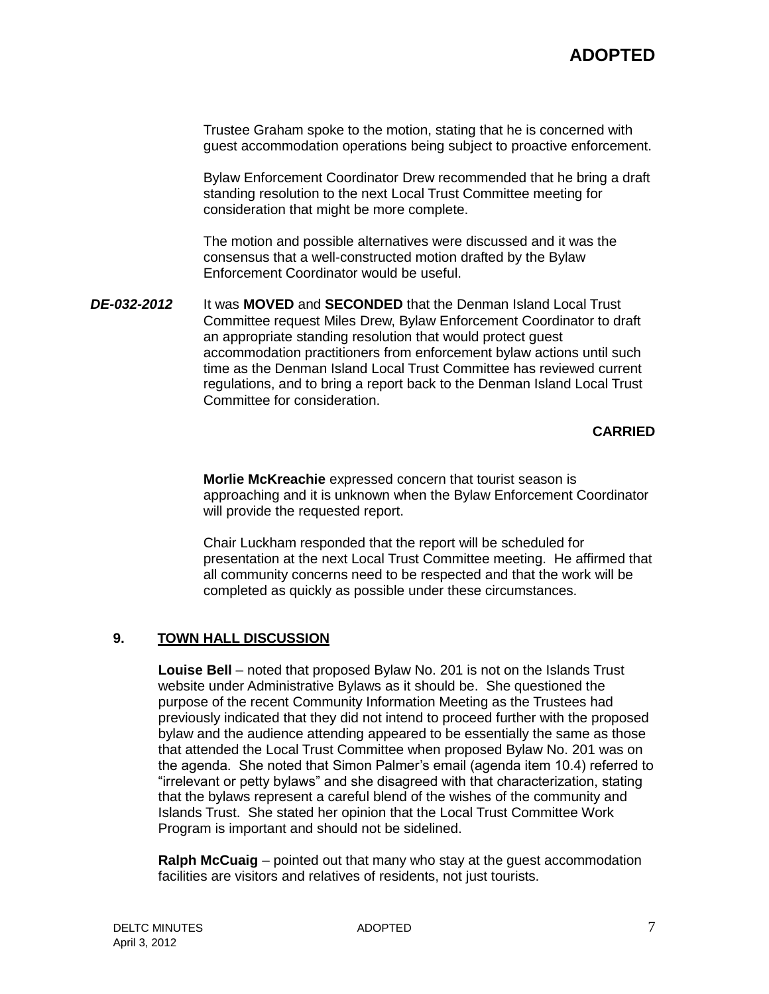# **ADOPTED**

Trustee Graham spoke to the motion, stating that he is concerned with guest accommodation operations being subject to proactive enforcement.

Bylaw Enforcement Coordinator Drew recommended that he bring a draft standing resolution to the next Local Trust Committee meeting for consideration that might be more complete.

The motion and possible alternatives were discussed and it was the consensus that a well-constructed motion drafted by the Bylaw Enforcement Coordinator would be useful.

*DE-032-2012* It was **MOVED** and **SECONDED** that the Denman Island Local Trust Committee request Miles Drew, Bylaw Enforcement Coordinator to draft an appropriate standing resolution that would protect guest accommodation practitioners from enforcement bylaw actions until such time as the Denman Island Local Trust Committee has reviewed current regulations, and to bring a report back to the Denman Island Local Trust Committee for consideration.

**CARRIED**

**Morlie McKreachie** expressed concern that tourist season is approaching and it is unknown when the Bylaw Enforcement Coordinator will provide the requested report.

Chair Luckham responded that the report will be scheduled for presentation at the next Local Trust Committee meeting. He affirmed that all community concerns need to be respected and that the work will be completed as quickly as possible under these circumstances.

#### **9. TOWN HALL DISCUSSION**

**Louise Bell** – noted that proposed Bylaw No. 201 is not on the Islands Trust website under Administrative Bylaws as it should be. She questioned the purpose of the recent Community Information Meeting as the Trustees had previously indicated that they did not intend to proceed further with the proposed bylaw and the audience attending appeared to be essentially the same as those that attended the Local Trust Committee when proposed Bylaw No. 201 was on the agenda. She noted that Simon Palmer's email (agenda item 10.4) referred to "irrelevant or petty bylaws" and she disagreed with that characterization, stating that the bylaws represent a careful blend of the wishes of the community and Islands Trust. She stated her opinion that the Local Trust Committee Work Program is important and should not be sidelined.

**Ralph McCuaig** – pointed out that many who stay at the guest accommodation facilities are visitors and relatives of residents, not just tourists.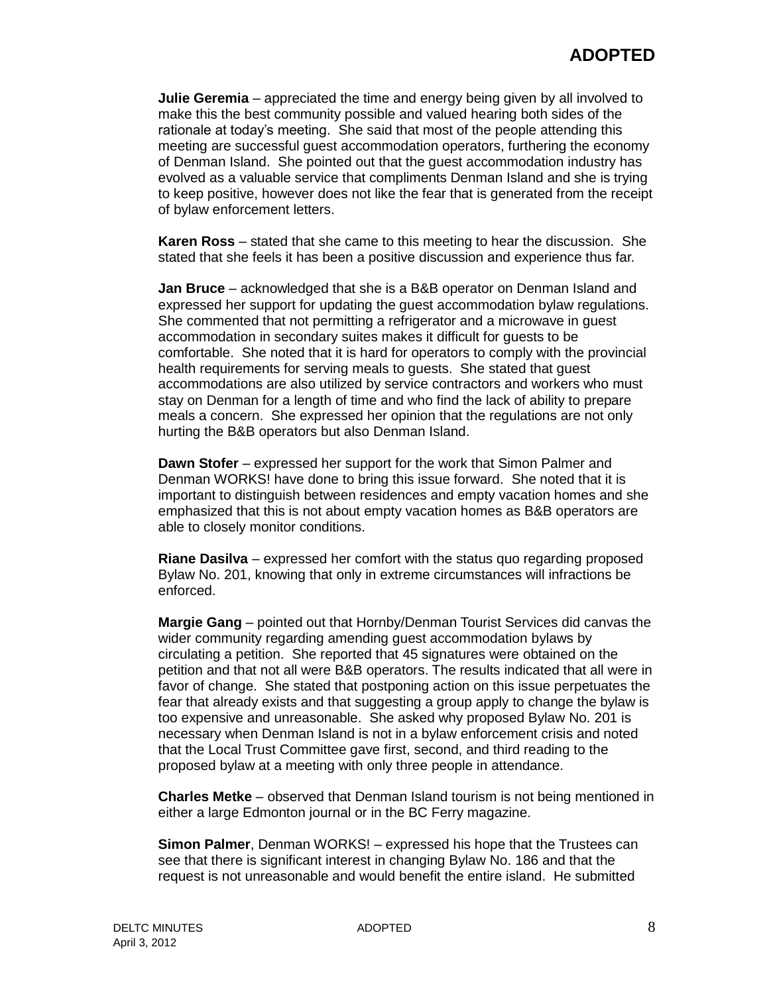**Julie Geremia** – appreciated the time and energy being given by all involved to make this the best community possible and valued hearing both sides of the rationale at today's meeting. She said that most of the people attending this meeting are successful guest accommodation operators, furthering the economy of Denman Island. She pointed out that the guest accommodation industry has evolved as a valuable service that compliments Denman Island and she is trying to keep positive, however does not like the fear that is generated from the receipt of bylaw enforcement letters.

**Karen Ross** – stated that she came to this meeting to hear the discussion. She stated that she feels it has been a positive discussion and experience thus far.

**Jan Bruce** – acknowledged that she is a B&B operator on Denman Island and expressed her support for updating the guest accommodation bylaw regulations. She commented that not permitting a refrigerator and a microwave in guest accommodation in secondary suites makes it difficult for guests to be comfortable. She noted that it is hard for operators to comply with the provincial health requirements for serving meals to guests. She stated that guest accommodations are also utilized by service contractors and workers who must stay on Denman for a length of time and who find the lack of ability to prepare meals a concern. She expressed her opinion that the regulations are not only hurting the B&B operators but also Denman Island.

**Dawn Stofer** – expressed her support for the work that Simon Palmer and Denman WORKS! have done to bring this issue forward. She noted that it is important to distinguish between residences and empty vacation homes and she emphasized that this is not about empty vacation homes as B&B operators are able to closely monitor conditions.

**Riane Dasilva** – expressed her comfort with the status quo regarding proposed Bylaw No. 201, knowing that only in extreme circumstances will infractions be enforced.

**Margie Gang** – pointed out that Hornby/Denman Tourist Services did canvas the wider community regarding amending guest accommodation bylaws by circulating a petition. She reported that 45 signatures were obtained on the petition and that not all were B&B operators. The results indicated that all were in favor of change. She stated that postponing action on this issue perpetuates the fear that already exists and that suggesting a group apply to change the bylaw is too expensive and unreasonable. She asked why proposed Bylaw No. 201 is necessary when Denman Island is not in a bylaw enforcement crisis and noted that the Local Trust Committee gave first, second, and third reading to the proposed bylaw at a meeting with only three people in attendance.

**Charles Metke** – observed that Denman Island tourism is not being mentioned in either a large Edmonton journal or in the BC Ferry magazine.

**Simon Palmer**, Denman WORKS! – expressed his hope that the Trustees can see that there is significant interest in changing Bylaw No. 186 and that the request is not unreasonable and would benefit the entire island. He submitted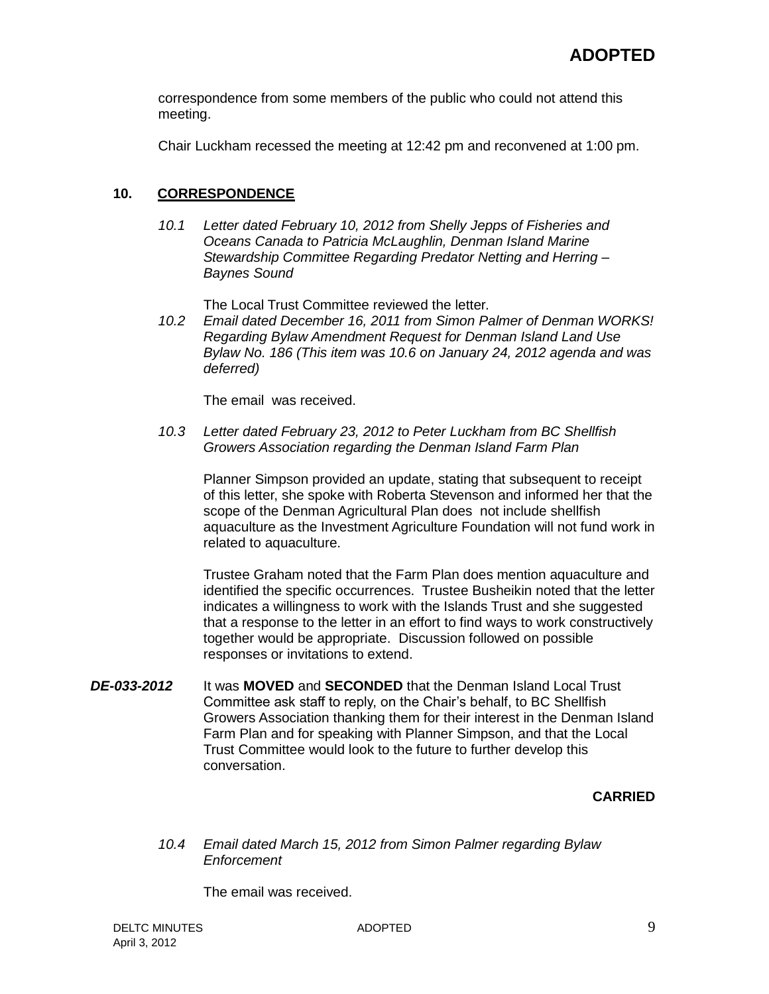correspondence from some members of the public who could not attend this meeting.

Chair Luckham recessed the meeting at 12:42 pm and reconvened at 1:00 pm.

### **10. CORRESPONDENCE**

*10.1 Letter dated February 10, 2012 from Shelly Jepps of Fisheries and Oceans Canada to Patricia McLaughlin, Denman Island Marine Stewardship Committee Regarding Predator Netting and Herring – Baynes Sound*

The Local Trust Committee reviewed the letter.

*10.2 Email dated December 16, 2011 from Simon Palmer of Denman WORKS! Regarding Bylaw Amendment Request for Denman Island Land Use Bylaw No. 186 (This item was 10.6 on January 24, 2012 agenda and was deferred)*

The email was received.

*10.3 Letter dated February 23, 2012 to Peter Luckham from BC Shellfish Growers Association regarding the Denman Island Farm Plan*

Planner Simpson provided an update, stating that subsequent to receipt of this letter, she spoke with Roberta Stevenson and informed her that the scope of the Denman Agricultural Plan does not include shellfish aquaculture as the Investment Agriculture Foundation will not fund work in related to aquaculture.

Trustee Graham noted that the Farm Plan does mention aquaculture and identified the specific occurrences. Trustee Busheikin noted that the letter indicates a willingness to work with the Islands Trust and she suggested that a response to the letter in an effort to find ways to work constructively together would be appropriate. Discussion followed on possible responses or invitations to extend.

*DE-033-2012* It was **MOVED** and **SECONDED** that the Denman Island Local Trust Committee ask staff to reply, on the Chair's behalf, to BC Shellfish Growers Association thanking them for their interest in the Denman Island Farm Plan and for speaking with Planner Simpson, and that the Local Trust Committee would look to the future to further develop this conversation.

#### **CARRIED**

*10.4 Email dated March 15, 2012 from Simon Palmer regarding Bylaw Enforcement*

The email was received.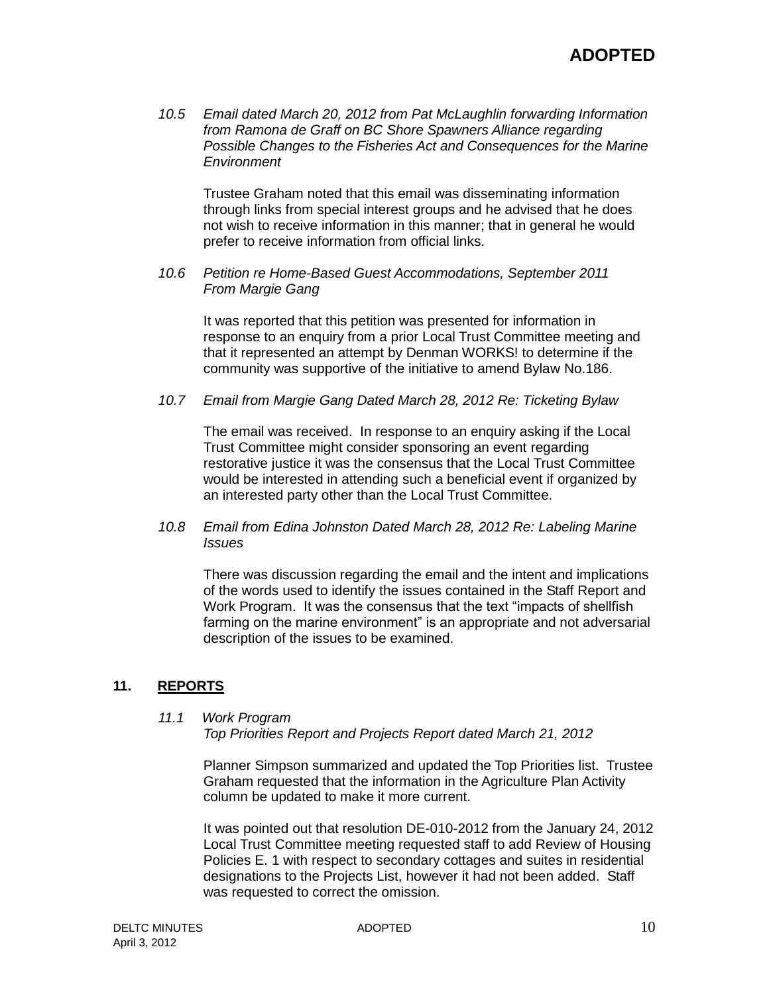*10.5 Email dated March 20, 2012 from Pat McLaughlin forwarding Information from Ramona de Graff on BC Shore Spawners Alliance regarding Possible Changes to the Fisheries Act and Consequences for the Marine Environment*

Trustee Graham noted that this email was disseminating information through links from special interest groups and he advised that he does not wish to receive information in this manner; that in general he would prefer to receive information from official links.

*10.6 Petition re Home-Based Guest Accommodations, September 2011 From Margie Gang*

It was reported that this petition was presented for information in response to an enquiry from a prior Local Trust Committee meeting and that it represented an attempt by Denman WORKS! to determine if the community was supportive of the initiative to amend Bylaw No.186.

*10.7 Email from Margie Gang Dated March 28, 2012 Re: Ticketing Bylaw*

The email was received. In response to an enquiry asking if the Local Trust Committee might consider sponsoring an event regarding restorative justice it was the consensus that the Local Trust Committee would be interested in attending such a beneficial event if organized by an interested party other than the Local Trust Committee.

*10.8 Email from Edina Johnston Dated March 28, 2012 Re: Labeling Marine Issues*

There was discussion regarding the email and the intent and implications of the words used to identify the issues contained in the Staff Report and Work Program. It was the consensus that the text "impacts of shellfish farming on the marine environment" is an appropriate and not adversarial description of the issues to be examined.

#### **11. REPORTS**

#### *11.1 Work Program*

*Top Priorities Report and Projects Report dated March 21, 2012*

Planner Simpson summarized and updated the Top Priorities list. Trustee Graham requested that the information in the Agriculture Plan Activity column be updated to make it more current.

It was pointed out that resolution DE-010-2012 from the January 24, 2012 Local Trust Committee meeting requested staff to add Review of Housing Policies E. 1 with respect to secondary cottages and suites in residential designations to the Projects List, however it had not been added. Staff was requested to correct the omission.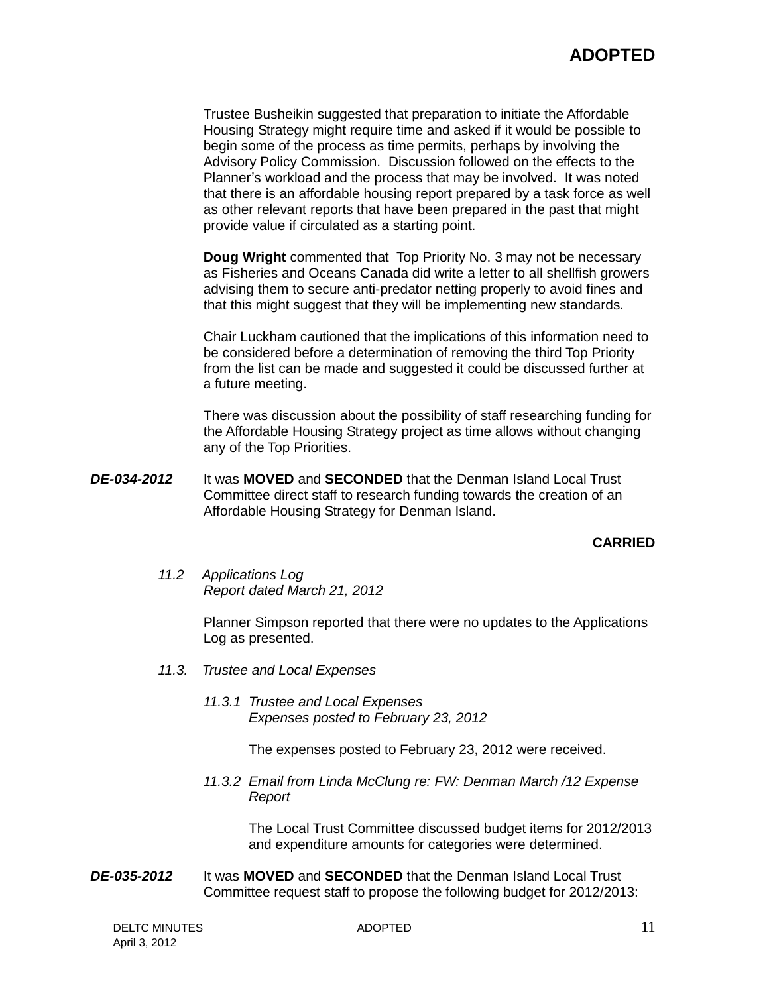Trustee Busheikin suggested that preparation to initiate the Affordable Housing Strategy might require time and asked if it would be possible to begin some of the process as time permits, perhaps by involving the Advisory Policy Commission. Discussion followed on the effects to the Planner's workload and the process that may be involved. It was noted that there is an affordable housing report prepared by a task force as well as other relevant reports that have been prepared in the past that might provide value if circulated as a starting point.

**Doug Wright** commented that Top Priority No. 3 may not be necessary as Fisheries and Oceans Canada did write a letter to all shellfish growers advising them to secure anti-predator netting properly to avoid fines and that this might suggest that they will be implementing new standards.

Chair Luckham cautioned that the implications of this information need to be considered before a determination of removing the third Top Priority from the list can be made and suggested it could be discussed further at a future meeting.

There was discussion about the possibility of staff researching funding for the Affordable Housing Strategy project as time allows without changing any of the Top Priorities.

*DE-034-2012* It was **MOVED** and **SECONDED** that the Denman Island Local Trust Committee direct staff to research funding towards the creation of an Affordable Housing Strategy for Denman Island.

#### **CARRIED**

*11.2 Applications Log Report dated March 21, 2012*

> Planner Simpson reported that there were no updates to the Applications Log as presented.

- *11.3. Trustee and Local Expenses*
	- *11.3.1 Trustee and Local Expenses Expenses posted to February 23, 2012*

The expenses posted to February 23, 2012 were received.

*11.3.2 Email from Linda McClung re: FW: Denman March /12 Expense Report*

> The Local Trust Committee discussed budget items for 2012/2013 and expenditure amounts for categories were determined.

*DE-035-2012* It was **MOVED** and **SECONDED** that the Denman Island Local Trust Committee request staff to propose the following budget for 2012/2013: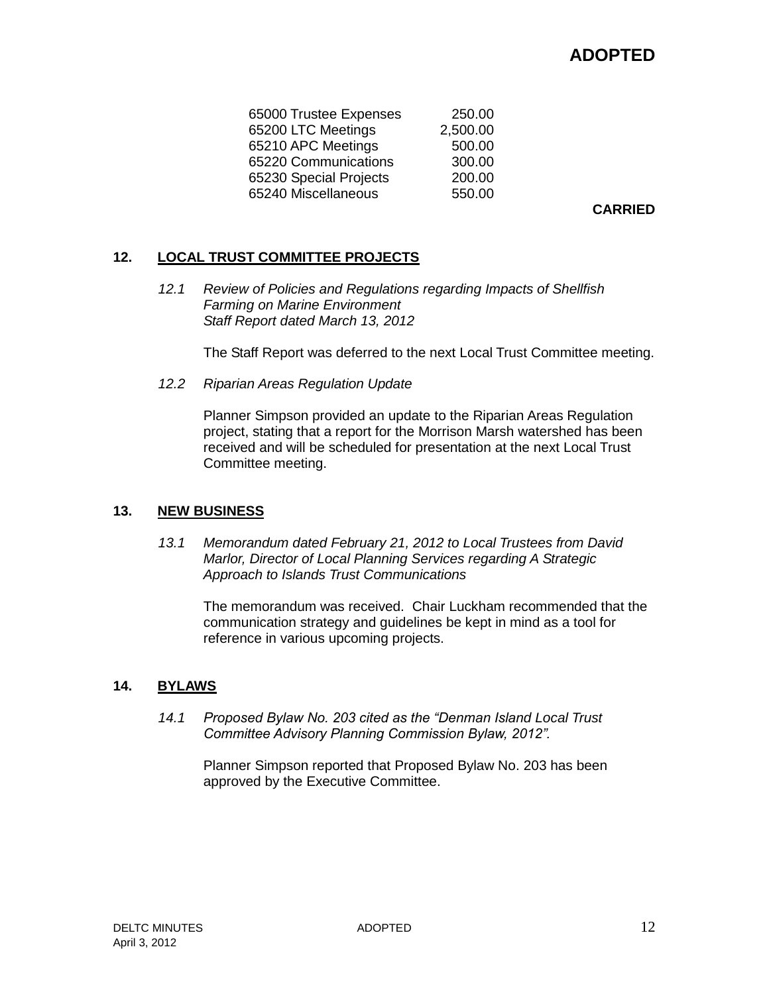# **ADOPTED**

| 65000 Trustee Expenses | 250.00   |
|------------------------|----------|
| 65200 LTC Meetings     | 2,500.00 |
| 65210 APC Meetings     | 500.00   |
| 65220 Communications   | 300.00   |
| 65230 Special Projects | 200.00   |
| 65240 Miscellaneous    | 550.00   |
|                        |          |

**CARRIED**

### **12. LOCAL TRUST COMMITTEE PROJECTS**

*12.1 Review of Policies and Regulations regarding Impacts of Shellfish Farming on Marine Environment Staff Report dated March 13, 2012*

The Staff Report was deferred to the next Local Trust Committee meeting.

*12.2 Riparian Areas Regulation Update*

Planner Simpson provided an update to the Riparian Areas Regulation project, stating that a report for the Morrison Marsh watershed has been received and will be scheduled for presentation at the next Local Trust Committee meeting.

#### **13. NEW BUSINESS**

*13.1 Memorandum dated February 21, 2012 to Local Trustees from David Marlor, Director of Local Planning Services regarding A Strategic Approach to Islands Trust Communications*

The memorandum was received. Chair Luckham recommended that the communication strategy and guidelines be kept in mind as a tool for reference in various upcoming projects.

#### **14. BYLAWS**

*14.1 Proposed Bylaw No. 203 cited as the "Denman Island Local Trust Committee Advisory Planning Commission Bylaw, 2012".*

Planner Simpson reported that Proposed Bylaw No. 203 has been approved by the Executive Committee.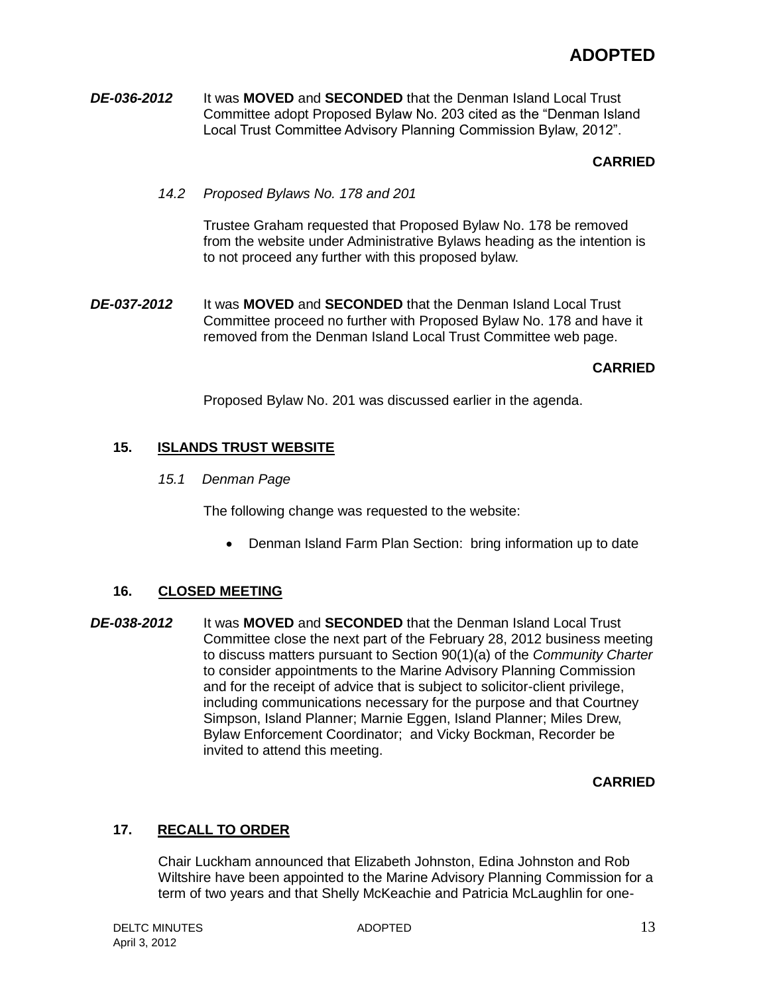*DE-036-2012* It was **MOVED** and **SECONDED** that the Denman Island Local Trust Committee adopt Proposed Bylaw No. 203 cited as the "Denman Island Local Trust Committee Advisory Planning Commission Bylaw, 2012".

## **CARRIED**

*14.2 Proposed Bylaws No. 178 and 201*

Trustee Graham requested that Proposed Bylaw No. 178 be removed from the website under Administrative Bylaws heading as the intention is to not proceed any further with this proposed bylaw.

*DE-037-2012* It was **MOVED** and **SECONDED** that the Denman Island Local Trust Committee proceed no further with Proposed Bylaw No. 178 and have it removed from the Denman Island Local Trust Committee web page.

## **CARRIED**

Proposed Bylaw No. 201 was discussed earlier in the agenda.

# **15. ISLANDS TRUST WEBSITE**

*15.1 Denman Page*

The following change was requested to the website:

• Denman Island Farm Plan Section: bring information up to date

## **16. CLOSED MEETING**

*DE-038-2012* It was **MOVED** and **SECONDED** that the Denman Island Local Trust Committee close the next part of the February 28, 2012 business meeting to discuss matters pursuant to Section 90(1)(a) of the *Community Charter* to consider appointments to the Marine Advisory Planning Commission and for the receipt of advice that is subject to solicitor-client privilege, including communications necessary for the purpose and that Courtney Simpson, Island Planner; Marnie Eggen, Island Planner; Miles Drew, Bylaw Enforcement Coordinator; and Vicky Bockman, Recorder be invited to attend this meeting.

## **CARRIED**

## **17. RECALL TO ORDER**

Chair Luckham announced that Elizabeth Johnston, Edina Johnston and Rob Wiltshire have been appointed to the Marine Advisory Planning Commission for a term of two years and that Shelly McKeachie and Patricia McLaughlin for one